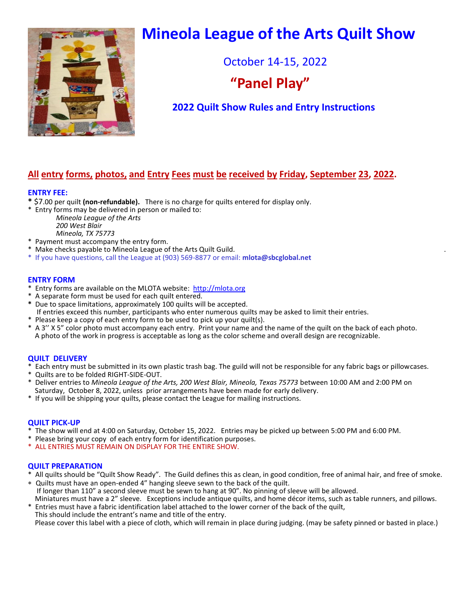

# **Mineola League of the Arts Quilt Show**

October 14-15, 2022

## **"Panel Play"**

### **2022 Quilt Show Rules and Entry Instructions**

### **All entry forms, photos, and Entry Fees must be received by Friday, September 23, 2022.**

#### **ENTRY FEE:**

- **\*** \$7.00 per quilt **(non-refundable).** There is no charge for quilts entered for display only.
- \* Entry forms may be delivered in person or mailed to:

 *Mineola League of the Arts 200 West Blair Mineola, TX 75773*

- \* Payment must accompany the entry form.
- \* Make checks payable to Mineola League of the Arts Quilt Guild. .
- \* If you have questions, call the League at (903) 569-8877 or email: **mlota@sbcglobal.net**

#### **ENTRY FORM**

- \* Entry forms are available on the MLOTA website: [http://mlota.org](http://mlota.org/)
- \* A separate form must be used for each quilt entered.
- **\*** Due to space limitations, approximately 100 quilts will be accepted.
- If entries exceed this number, participants who enter numerous quilts may be asked to limit their entries.
- \* Please keep a copy of each entry form to be used to pick up your quilt(s).
- \* A 3'' X 5" color photo must accompany each entry. Print your name and the name of the quilt on the back of each photo. A photo of the work in progress is acceptable as long as the color scheme and overall design are recognizable.

#### **QUILT DELIVERY**

- \* Each entry must be submitted in its own plastic trash bag. The guild will not be responsible for any fabric bags or pillowcases.
- \* Quilts are to be folded RIGHT-SIDE-OUT.
- \* Deliver entries to *Mineola League of the Arts, 200 West Blair, Mineola, Texas 75773* between 10:00 AM and 2:00 PM on Saturday, October 8, 2022, unless prior arrangements have been made for early delivery.
- \* If you will be shipping your quilts, please contact the League for mailing instructions.

#### **QUILT PICK-UP**

- \* The show will end at 4:00 on Saturday, October 15, 2022. Entries may be picked up between 5:00 PM and 6:00 PM.
- \* Please bring your copy of each entry form for identification purposes.
- \* ALL ENTRIES MUST REMAIN ON DISPLAY FOR THE ENTIRE SHOW.

#### **QUILT PREPARATION**

- \* All quilts should be "Quilt Show Ready". The Guild defines this as clean, in good condition, free of animal hair, and free of smoke.
- Quilts must have an open-ended 4" hanging sleeve sewn to the back of the quilt. If longer than 110" a second sleeve must be sewn to hang at 90". No pinning of sleeve will be allowed. Miniatures must have a 2" sleeve. Exceptions include antique quilts, and home décor items, such as table runners, and pillows.
- Entries must have a fabric identification label attached to the lower corner of the back of the quilt, This should include the entrant's name and title of the entry. Please cover this label with a piece of cloth, which will remain in place during judging. (may be safety pinned or basted in place.)